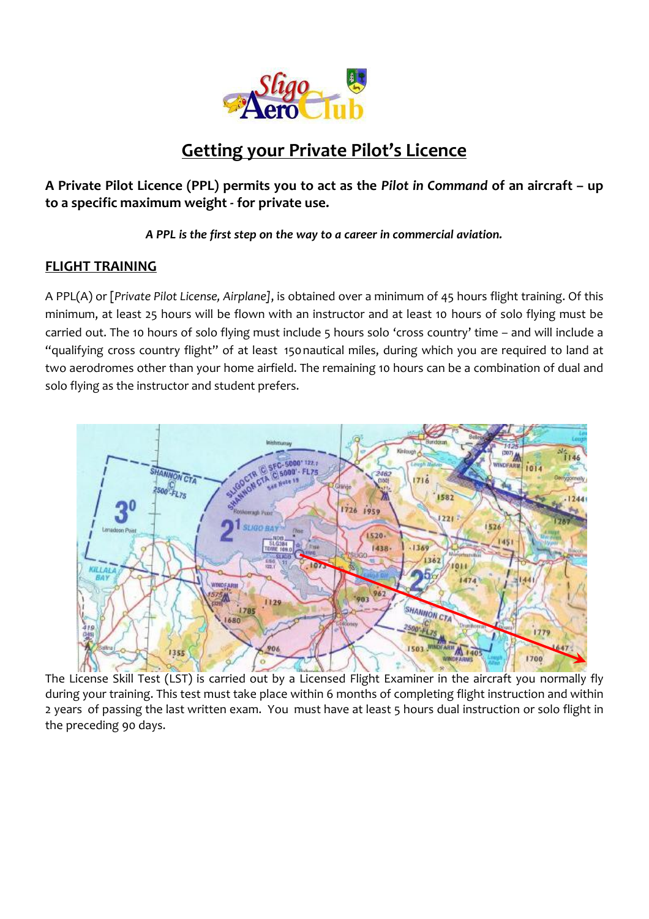

# **Getting your Private Pilot's Licence**

**A Private Pilot Licence (PPL) permits you to act as the** *Pilot in Command* **of an aircraft – up to a specific maximum weight - for private use.**

*A PPL is the first step on the way to a career in commercial aviation.*

## **FLIGHT TRAINING**

A PPL(A) or [*Private Pilot License, Airplane]*, is obtained over a minimum of 45 hours flight training. Of this minimum, at least 25 hours will be flown with an instructor and at least 10 hours of solo flying must be carried out. The 10 hours of solo flying must include 5 hours solo 'cross country' time – and will include a "qualifying cross country flight" of at least 150nautical miles, during which you are required to land at two aerodromes other than your home airfield. The remaining 10 hours can be a combination of dual and solo flying as the instructor and student prefers.



The License Skill Test (LST) is carried out by a Licensed Flight Examiner in the aircraft you normally fly during your training. This test must take place within 6 months of completing flight instruction and within 2 years of passing the last written exam. You must have at least 5 hours dual instruction or solo flight in the preceding 90 days.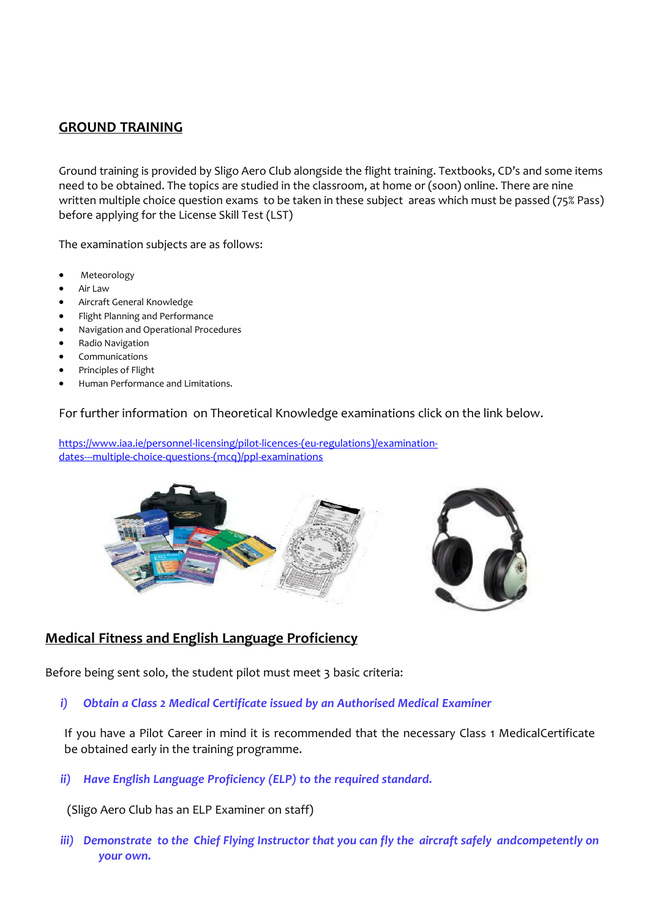### **GROUND TRAINING**

Ground training is provided by Sligo Aero Club alongside the flight training. Textbooks, CD's and some items need to be obtained. The topics are studied in the classroom, at home or (soon) online. There are nine written multiple choice question exams to be taken in these subject areas which must be passed (75% Pass) before applying for the License Skill Test (LST)

The examination subjects are as follows:

- Meteorology
- Air Law
- Aircraft General Knowledge
- Flight Planning and Performance
- Navigation and Operational Procedures
- Radio Navigation
- Communications
- Principles of Flight
- Human Performance and Limitations.

#### For further information on Theoretical Knowledge examinations click on the link below.

[https://www.iaa.ie/personnel-licensing/pilot-licences-\(eu-regulations\)/examination](https://www.iaa.ie/personnel-licensing/pilot-licences-(eu-regulations)/examination-dates---multiple-choice-questions-(mcq)/ppl-examinations)[dates---multiple-choice-questions-\(mcq\)/ppl-examinations](https://www.iaa.ie/personnel-licensing/pilot-licences-(eu-regulations)/examination-dates---multiple-choice-questions-(mcq)/ppl-examinations)



### **Medical Fitness and English Language Proficiency**

Before being sent solo, the student pilot must meet 3 basic criteria:

*i) Obtain a Class 2 Medical Certificate issued by an Authorised Medical Examiner*

If you have a Pilot Career in mind it is recommended that the necessary Class 1 MedicalCertificate be obtained early in the training programme.

*ii) Have English Language Proficiency (ELP) to the required standard.*

(Sligo Aero Club has an ELP Examiner on staff)

*iii) Demonstrate to the Chief Flying Instructor that you can fly the aircraft safely andcompetently on your own.*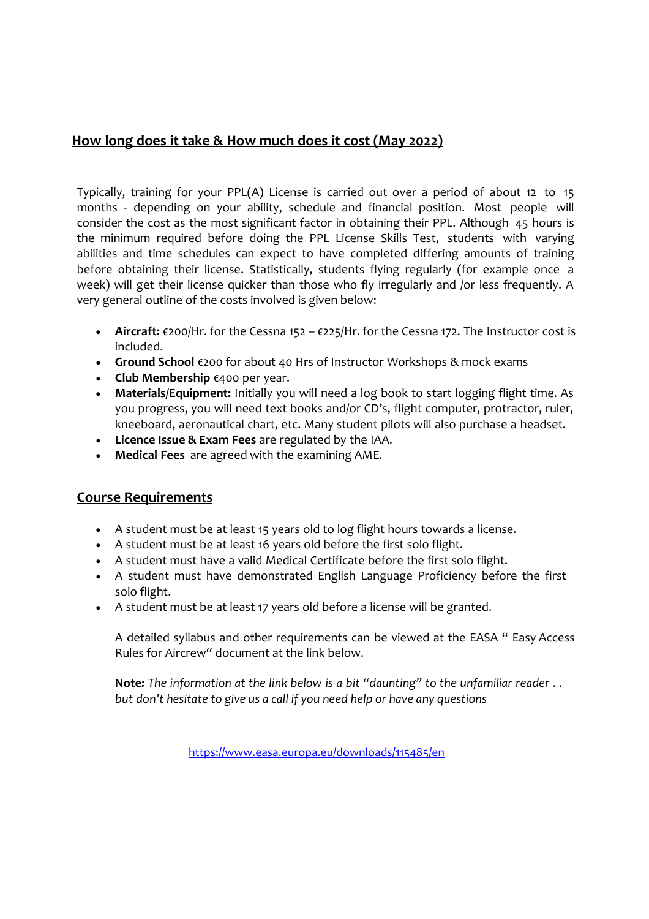## **How long does it take & How much does it cost (May 2022)**

Typically, training for your PPL(A) License is carried out over a period of about 12 to 15 months - depending on your ability, schedule and financial position. Most people will consider the cost as the most significant factor in obtaining their PPL. Although 45 hours is the minimum required before doing the PPL License Skills Test, students with varying abilities and time schedules can expect to have completed differing amounts of training before obtaining their license. Statistically, students flying regularly (for example once a week) will get their license quicker than those who fly irregularly and /or less frequently. A very general outline of the costs involved is given below:

- **Aircraft:** €200/Hr. for the Cessna 152 €225/Hr. for the Cessna 172. The Instructor cost is included.
- **Ground School** €200 for about 40 Hrs of Instructor Workshops & mock exams
- **Club Membership** €400 per year.
- **Materials/Equipment:** Initially you will need a log book to start logging flight time. As you progress, you will need text books and/or CD's, flight computer, protractor, ruler, kneeboard, aeronautical chart, etc. Many student pilots will also purchase a headset.
- **Licence Issue & Exam Fees** are regulated by the IAA.
- **Medical Fees** are agreed with the examining AME.

## **Course Requirements**

- A student must be at least 15 years old to log flight hours towards a license.
- A student must be at least 16 years old before the first solo flight.
- A student must have a valid Medical Certificate before the first solo flight.
- A student must have demonstrated English Language Proficiency before the first solo flight.
- A student must be at least 17 years old before a license will be granted.

A detailed syllabus and other requirements can be viewed at the EASA " Easy Access Rules for Aircrew" document at the link below.

**Note***: The information at the link below is a bit "daunting" to the unfamiliar reader . . but don't hesitate to give us a call if you need help or have any questions*